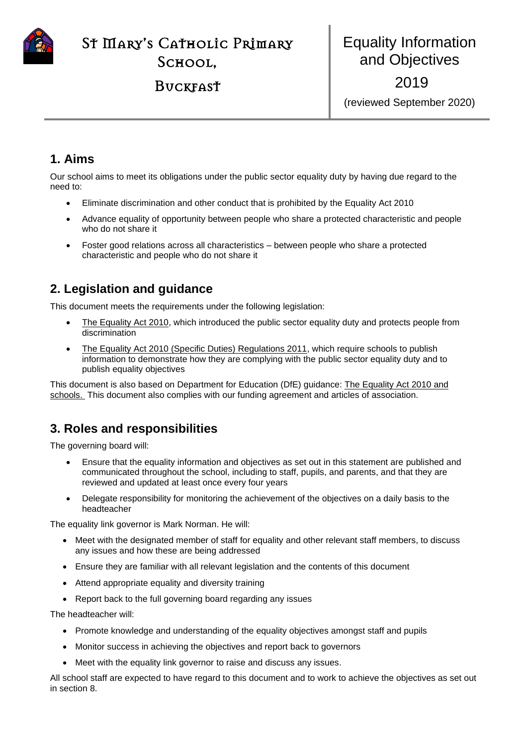

**BUCKFAST** 

## **1. Aims**

Our school aims to meet its obligations under the public sector equality duty by having due regard to the need to:

- Eliminate discrimination and other conduct that is prohibited by the Equality Act 2010
- Advance equality of opportunity between people who share a protected characteristic and people who do not share it
- Foster good relations across all characteristics between people who share a protected characteristic and people who do not share it

## **2. Legislation and guidance**

This document meets the requirements under the following legislation:

- [The Equality Act 2010,](http://www.legislation.gov.uk/ukpga/2010/15/contents) which introduced the public sector equality duty and protects people from discrimination
- [The Equality Act 2010 \(Specific Duties\) Regulations 2011,](http://www.legislation.gov.uk/uksi/2011/2260/contents/made) which require schools to publish information to demonstrate how they are complying with the public sector equality duty and to publish equality objectives

This document is also based on Department for Education (DfE) guidance: [The Equality Act 2010 and](https://www.gov.uk/government/uploads/system/uploads/attachment_data/file/315587/Equality_Act_Advice_Final.pdf)  [schools.](https://www.gov.uk/government/uploads/system/uploads/attachment_data/file/315587/Equality_Act_Advice_Final.pdf) This document also complies with our funding agreement and articles of association.

## **3. Roles and responsibilities**

The governing board will:

- Ensure that the equality information and objectives as set out in this statement are published and communicated throughout the school, including to staff, pupils, and parents, and that they are reviewed and updated at least once every four years
- Delegate responsibility for monitoring the achievement of the objectives on a daily basis to the headteacher

The equality link governor is Mark Norman. He will:

- Meet with the designated member of staff for equality and other relevant staff members, to discuss any issues and how these are being addressed
- Ensure they are familiar with all relevant legislation and the contents of this document
- Attend appropriate equality and diversity training
- Report back to the full governing board regarding any issues

The headteacher will:

- Promote knowledge and understanding of the equality objectives amongst staff and pupils
- Monitor success in achieving the objectives and report back to governors
- Meet with the equality link governor to raise and discuss any issues.

All school staff are expected to have regard to this document and to work to achieve the objectives as set out in section 8.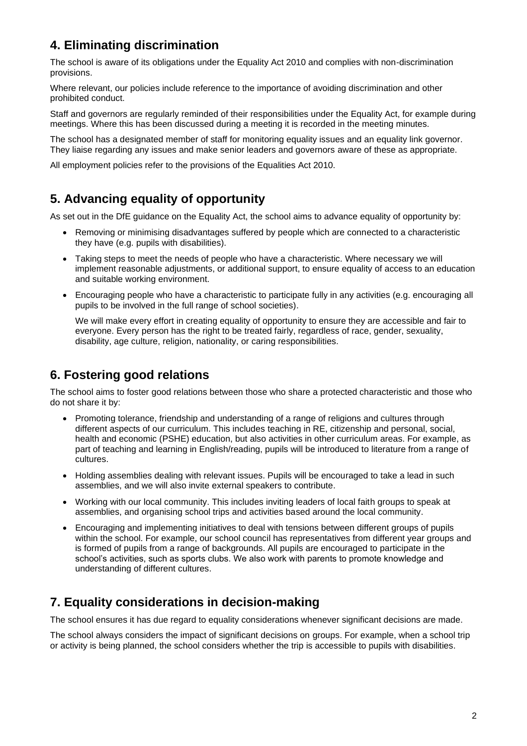# **4. Eliminating discrimination**

The school is aware of its obligations under the Equality Act 2010 and complies with non-discrimination provisions.

Where relevant, our policies include reference to the importance of avoiding discrimination and other prohibited conduct.

Staff and governors are regularly reminded of their responsibilities under the Equality Act, for example during meetings. Where this has been discussed during a meeting it is recorded in the meeting minutes.

The school has a designated member of staff for monitoring equality issues and an equality link governor. They liaise regarding any issues and make senior leaders and governors aware of these as appropriate.

All employment policies refer to the provisions of the Equalities Act 2010.

### **5. Advancing equality of opportunity**

As set out in the DfE guidance on the Equality Act, the school aims to advance equality of opportunity by:

- Removing or minimising disadvantages suffered by people which are connected to a characteristic they have (e.g. pupils with disabilities).
- Taking steps to meet the needs of people who have a characteristic. Where necessary we will implement reasonable adjustments, or additional support, to ensure equality of access to an education and suitable working environment.
- Encouraging people who have a characteristic to participate fully in any activities (e.g. encouraging all pupils to be involved in the full range of school societies).

We will make every effort in creating equality of opportunity to ensure they are accessible and fair to everyone. Every person has the right to be treated fairly, regardless of race, gender, sexuality, disability, age culture, religion, nationality, or caring responsibilities.

## **6. Fostering good relations**

The school aims to foster good relations between those who share a protected characteristic and those who do not share it by:

- Promoting tolerance, friendship and understanding of a range of religions and cultures through different aspects of our curriculum. This includes teaching in RE, citizenship and personal, social, health and economic (PSHE) education, but also activities in other curriculum areas. For example, as part of teaching and learning in English/reading, pupils will be introduced to literature from a range of cultures.
- Holding assemblies dealing with relevant issues. Pupils will be encouraged to take a lead in such assemblies, and we will also invite external speakers to contribute.
- Working with our local community. This includes inviting leaders of local faith groups to speak at assemblies, and organising school trips and activities based around the local community.
- Encouraging and implementing initiatives to deal with tensions between different groups of pupils within the school. For example, our school council has representatives from different year groups and is formed of pupils from a range of backgrounds. All pupils are encouraged to participate in the school's activities, such as sports clubs. We also work with parents to promote knowledge and understanding of different cultures.

## **7. Equality considerations in decision-making**

The school ensures it has due regard to equality considerations whenever significant decisions are made.

The school always considers the impact of significant decisions on groups. For example, when a school trip or activity is being planned, the school considers whether the trip is accessible to pupils with disabilities.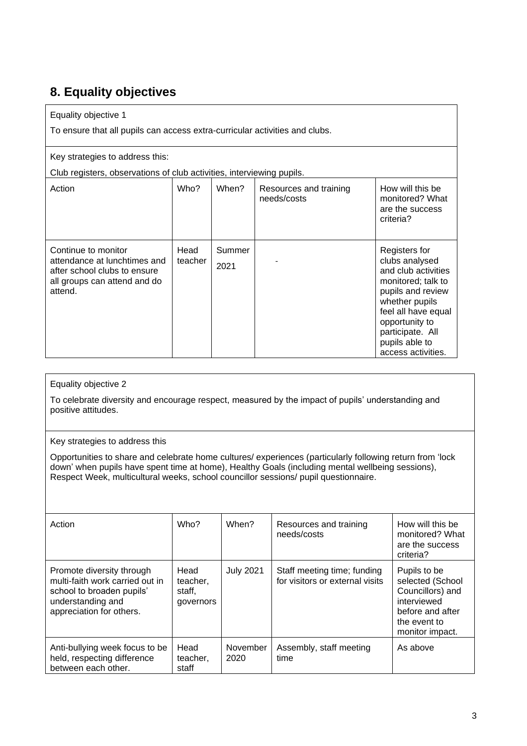# **8. Equality objectives**

### Equality objective 1

To ensure that all pupils can access extra-curricular activities and clubs.

### Key strategies to address this:

Club registers, observations of club activities, interviewing pupils.

| Club registers, observations or club activities, interviewing pupils.                                                          |                 |                |                                       |                                                                                                                                                                                                                          |  |  |  |
|--------------------------------------------------------------------------------------------------------------------------------|-----------------|----------------|---------------------------------------|--------------------------------------------------------------------------------------------------------------------------------------------------------------------------------------------------------------------------|--|--|--|
| Action                                                                                                                         | Who?            | When?          | Resources and training<br>needs/costs | How will this be<br>monitored? What<br>are the success<br>criteria?                                                                                                                                                      |  |  |  |
| Continue to monitor<br>attendance at lunchtimes and<br>after school clubs to ensure<br>all groups can attend and do<br>attend. | Head<br>teacher | Summer<br>2021 |                                       | Registers for<br>clubs analysed<br>and club activities<br>monitored; talk to<br>pupils and review<br>whether pupils<br>feel all have equal<br>opportunity to<br>participate. All<br>pupils able to<br>access activities. |  |  |  |

### Equality objective 2

To celebrate diversity and encourage respect, measured by the impact of pupils' understanding and positive attitudes.

#### Key strategies to address this

Opportunities to share and celebrate home cultures/ experiences (particularly following return from 'lock down' when pupils have spent time at home), Healthy Goals (including mental wellbeing sessions), Respect Week, multicultural weeks, school councillor sessions/ pupil questionnaire.

| Action                                                                                                                                     | Who?                                    | When?            | Resources and training<br>needs/costs                          | How will this be<br>monitored? What<br>are the success<br>criteria?                                                        |
|--------------------------------------------------------------------------------------------------------------------------------------------|-----------------------------------------|------------------|----------------------------------------------------------------|----------------------------------------------------------------------------------------------------------------------------|
| Promote diversity through<br>multi-faith work carried out in<br>school to broaden pupils'<br>understanding and<br>appreciation for others. | Head<br>teacher,<br>staff,<br>governors | <b>July 2021</b> | Staff meeting time; funding<br>for visitors or external visits | Pupils to be<br>selected (School<br>Councillors) and<br>interviewed<br>before and after<br>the event to<br>monitor impact. |
| Anti-bullying week focus to be<br>held, respecting difference<br>between each other.                                                       | Head<br>teacher.<br>staff               | November<br>2020 | Assembly, staff meeting<br>time                                | As above                                                                                                                   |